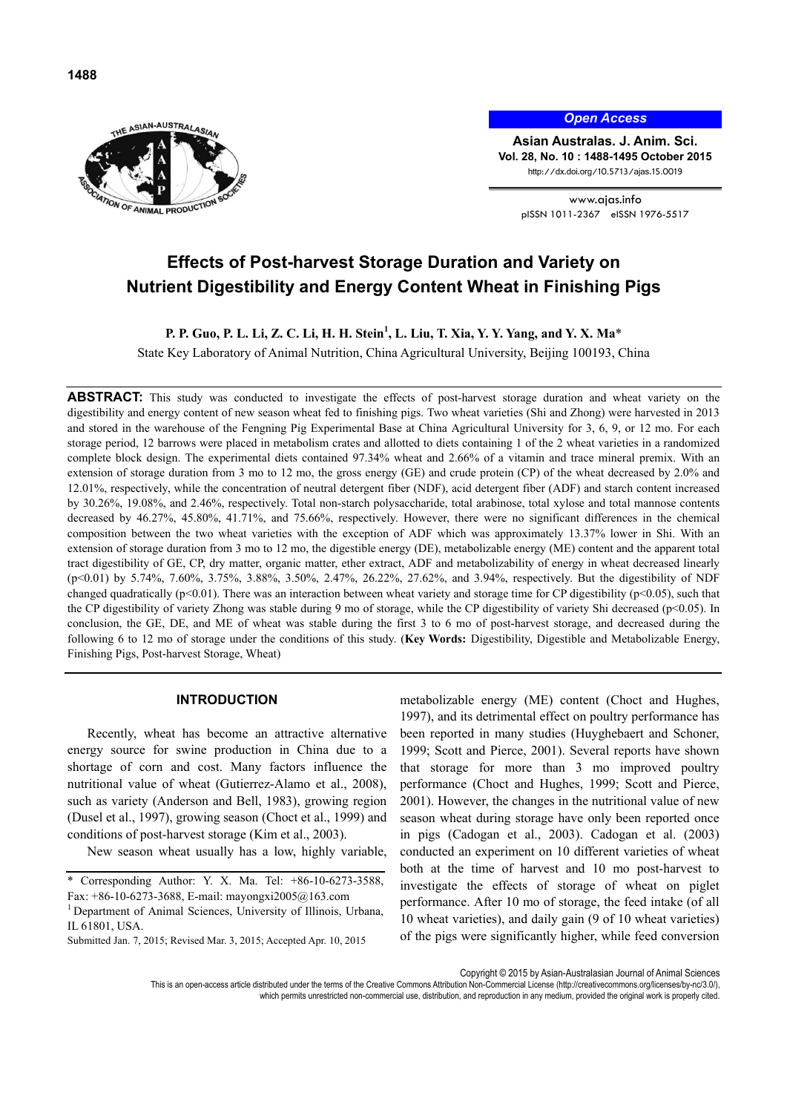



*Open Access*

**Asian Australas. J. Anim. Sci. Vol. 28, No. 10 : 1488-1495 October 2015** http://dx.doi.org/10.5713/ajas.15.0019

> www.ajas.info pISSN 1011-2367 eISSN 1976-5517

# **Effects of Post-harvest Storage Duration and Variety on Nutrient Digestibility and Energy Content Wheat in Finishing Pigs**

**P. P. Guo, P. L. Li, Z. C. Li, H. H. Stein<sup>1</sup>, L. Liu, T. Xia, Y. Y. Yang, and Y. X. Ma\*** 

State Key Laboratory of Animal Nutrition, China Agricultural University, Beijing 100193, China

**ABSTRACT:** This study was conducted to investigate the effects of post-harvest storage duration and wheat variety on the digestibility and energy content of new season wheat fed to finishing pigs. Two wheat varieties (Shi and Zhong) were harvested in 2013 and stored in the warehouse of the Fengning Pig Experimental Base at China Agricultural University for 3, 6, 9, or 12 mo. For each storage period, 12 barrows were placed in metabolism crates and allotted to diets containing 1 of the 2 wheat varieties in a randomized complete block design. The experimental diets contained 97.34% wheat and 2.66% of a vitamin and trace mineral premix. With an extension of storage duration from 3 mo to 12 mo, the gross energy (GE) and crude protein (CP) of the wheat decreased by 2.0% and 12.01%, respectively, while the concentration of neutral detergent fiber (NDF), acid detergent fiber (ADF) and starch content increased by 30.26%, 19.08%, and 2.46%, respectively. Total non-starch polysaccharide, total arabinose, total xylose and total mannose contents decreased by 46.27%, 45.80%, 41.71%, and 75.66%, respectively. However, there were no significant differences in the chemical composition between the two wheat varieties with the exception of ADF which was approximately 13.37% lower in Shi. With an extension of storage duration from 3 mo to 12 mo, the digestible energy (DE), metabolizable energy (ME) content and the apparent total tract digestibility of GE, CP, dry matter, organic matter, ether extract, ADF and metabolizability of energy in wheat decreased linearly (p<0.01) by 5.74%, 7.60%, 3.75%, 3.88%, 3.50%, 2.47%, 26.22%, 27.62%, and 3.94%, respectively. But the digestibility of NDF changed quadratically ( $p<0.01$ ). There was an interaction between wheat variety and storage time for CP digestibility ( $p<0.05$ ), such that the CP digestibility of variety Zhong was stable during 9 mo of storage, while the CP digestibility of variety Shi decreased (p<0.05). In conclusion, the GE, DE, and ME of wheat was stable during the first 3 to 6 mo of post-harvest storage, and decreased during the following 6 to 12 mo of storage under the conditions of this study. (**Key Words:** Digestibility, Digestible and Metabolizable Energy, Finishing Pigs, Post-harvest Storage, Wheat)

# **INTRODUCTION**

Recently, wheat has become an attractive alternative energy source for swine production in China due to a shortage of corn and cost. Many factors influence the nutritional value of wheat (Gutierrez-Alamo et al., 2008), such as variety (Anderson and Bell, 1983), growing region (Dusel et al., 1997), growing season (Choct et al., 1999) and conditions of post-harvest storage (Kim et al., 2003).

New season wheat usually has a low, highly variable,

\* Corresponding Author: Y. X. Ma. Tel: +86-10-6273-3588, Fax: +86-10-6273-3688, E-mail: mayongxi2005@163.com

<sup>1</sup> Department of Animal Sciences, University of Illinois, Urbana, IL 61801, USA.

Submitted Jan. 7, 2015; Revised Mar. 3, 2015; Accepted Apr. 10, 2015

metabolizable energy (ME) content (Choct and Hughes, 1997), and its detrimental effect on poultry performance has been reported in many studies (Huyghebaert and Schoner, 1999; Scott and Pierce, 2001). Several reports have shown that storage for more than 3 mo improved poultry performance (Choct and Hughes, 1999; Scott and Pierce, 2001). However, the changes in the nutritional value of new season wheat during storage have only been reported once in pigs (Cadogan et al., 2003). Cadogan et al. (2003) conducted an experiment on 10 different varieties of wheat both at the time of harvest and 10 mo post-harvest to investigate the effects of storage of wheat on piglet performance. After 10 mo of storage, the feed intake (of all 10 wheat varieties), and daily gain (9 of 10 wheat varieties) of the pigs were significantly higher, while feed conversion

Copyright © 2015 by Asian-Australasian Journal of Animal Sciences

This is an open-access article distributed under the terms of the Creative Commons Attribution Non-Commercial License (http://creativecommons.org/licenses/by-nc/3.0/), which permits unrestricted non-commercial use, distribution, and reproduction in any medium, provided the original work is properly cited.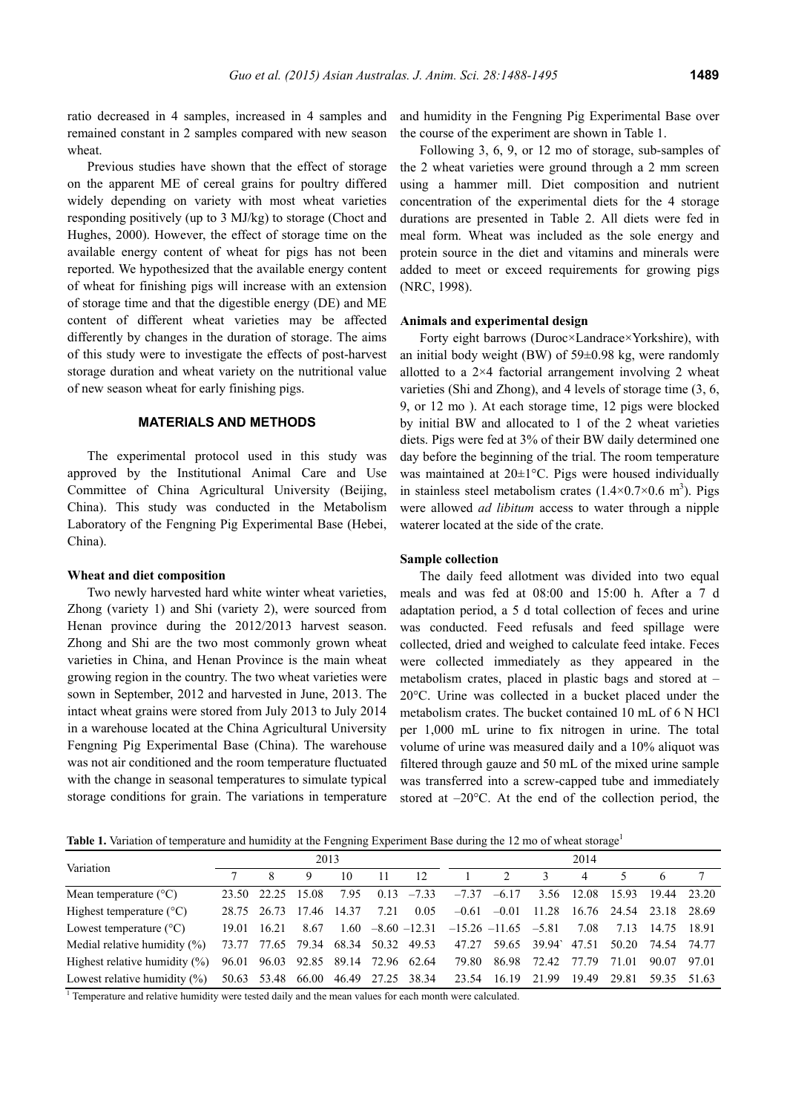ratio decreased in 4 samples, increased in 4 samples and remained constant in 2 samples compared with new season wheat.

Previous studies have shown that the effect of storage on the apparent ME of cereal grains for poultry differed widely depending on variety with most wheat varieties responding positively (up to 3 MJ/kg) to storage (Choct and Hughes, 2000). However, the effect of storage time on the available energy content of wheat for pigs has not been reported. We hypothesized that the available energy content of wheat for finishing pigs will increase with an extension of storage time and that the digestible energy (DE) and ME content of different wheat varieties may be affected differently by changes in the duration of storage. The aims of this study were to investigate the effects of post-harvest storage duration and wheat variety on the nutritional value of new season wheat for early finishing pigs.

#### **MATERIALS AND METHODS**

The experimental protocol used in this study was approved by the Institutional Animal Care and Use Committee of China Agricultural University (Beijing, China). This study was conducted in the Metabolism Laboratory of the Fengning Pig Experimental Base (Hebei, China).

#### **Wheat and diet composition**

Two newly harvested hard white winter wheat varieties, Zhong (variety 1) and Shi (variety 2), were sourced from Henan province during the 2012/2013 harvest season. Zhong and Shi are the two most commonly grown wheat varieties in China, and Henan Province is the main wheat growing region in the country. The two wheat varieties were sown in September, 2012 and harvested in June, 2013. The intact wheat grains were stored from July 2013 to July 2014 in a warehouse located at the China Agricultural University Fengning Pig Experimental Base (China). The warehouse was not air conditioned and the room temperature fluctuated with the change in seasonal temperatures to simulate typical storage conditions for grain. The variations in temperature and humidity in the Fengning Pig Experimental Base over the course of the experiment are shown in Table 1.

Following 3, 6, 9, or 12 mo of storage, sub-samples of the 2 wheat varieties were ground through a 2 mm screen using a hammer mill. Diet composition and nutrient concentration of the experimental diets for the 4 storage durations are presented in Table 2. All diets were fed in meal form. Wheat was included as the sole energy and protein source in the diet and vitamins and minerals were added to meet or exceed requirements for growing pigs (NRC, 1998).

#### **Animals and experimental design**

Forty eight barrows (Duroc×Landrace×Yorkshire), with an initial body weight (BW) of 59±0.98 kg, were randomly allotted to a  $2\times4$  factorial arrangement involving 2 wheat varieties (Shi and Zhong), and 4 levels of storage time (3, 6, 9, or 12 mo ). At each storage time, 12 pigs were blocked by initial BW and allocated to 1 of the 2 wheat varieties diets. Pigs were fed at 3% of their BW daily determined one day before the beginning of the trial. The room temperature was maintained at 20±1°C. Pigs were housed individually in stainless steel metabolism crates  $(1.4 \times 0.7 \times 0.6 \text{ m}^3)$ . Pigs were allowed *ad libitum* access to water through a nipple waterer located at the side of the crate.

#### **Sample collection**

The daily feed allotment was divided into two equal meals and was fed at 08:00 and 15:00 h. After a 7 d adaptation period, a 5 d total collection of feces and urine was conducted. Feed refusals and feed spillage were collected, dried and weighed to calculate feed intake. Feces were collected immediately as they appeared in the metabolism crates, placed in plastic bags and stored at – 20°C. Urine was collected in a bucket placed under the metabolism crates. The bucket contained 10 mL of 6 N HCl per 1,000 mL urine to fix nitrogen in urine. The total volume of urine was measured daily and a 10% aliquot was filtered through gauze and 50 mL of the mixed urine sample was transferred into a screw-capped tube and immediately stored at  $-20^{\circ}$ C. At the end of the collection period, the

**Table 1.** Variation of temperature and humidity at the Fengning Experiment Base during the 12 mo of wheat storage<sup>1</sup>

| Variation                         | 2013  |             |                                     |       |                   |                  |                           | 2014                          |       |       |             |              |       |  |
|-----------------------------------|-------|-------------|-------------------------------------|-------|-------------------|------------------|---------------------------|-------------------------------|-------|-------|-------------|--------------|-------|--|
|                                   |       |             |                                     | 10    |                   | 12               |                           | $\mathfrak{D}_{\mathfrak{p}}$ |       | 4     |             | <sub>6</sub> |       |  |
| Mean temperature $(^{\circ}C)$    | 23.50 | 22.25       | - 15.08                             | 7.95  | 0.13              | $-7.33$          | $-7.37$                   | $-6.17$                       | 3.56  | 12.08 | 15.93       | 19.44        | 23.20 |  |
| Highest temperature $(^{\circ}C)$ | 28.75 | 26.73 17.46 |                                     | 14.37 | 7.21              | 0.05             |                           | $-0.61 - 0.01$                | 11.28 | 16.76 | 24.54 23.18 |              | 28.69 |  |
| Lowest temperature $(^{\circ}C)$  | 19.01 | 16.21       | 8.67                                | 1.60  |                   | $-8.60$ $-12.31$ | $-15.26$ $-11.65$ $-5.81$ |                               |       | 7.08  | 7.13        | 14.75        | 18.91 |  |
| Medial relative humidity $(\%)$   |       |             | 73.77 77.65 79.34 68.34 50.32 49.53 |       |                   |                  | 47.27                     | 59.65                         | 39.94 | 47.51 | 50.20       | 74.54        | 74.77 |  |
| Highest relative humidity $(\%)$  |       |             | 96.01 96.03 92.85 89.14             |       | 72.96 62.64       |                  | 79.80                     | 86.98                         | 72.42 | 77.79 | 71.01       | 90.07        | 97.01 |  |
| Lowest relative humidity $(\% )$  |       | 50.63 53.48 | 66.00                               |       | 46.49 27.25 38.34 |                  | 23.54                     | 16.19                         | 21.99 | 1949  | 29.81       | 59.35        | 51.63 |  |

<sup>1</sup> Temperature and relative humidity were tested daily and the mean values for each month were calculated.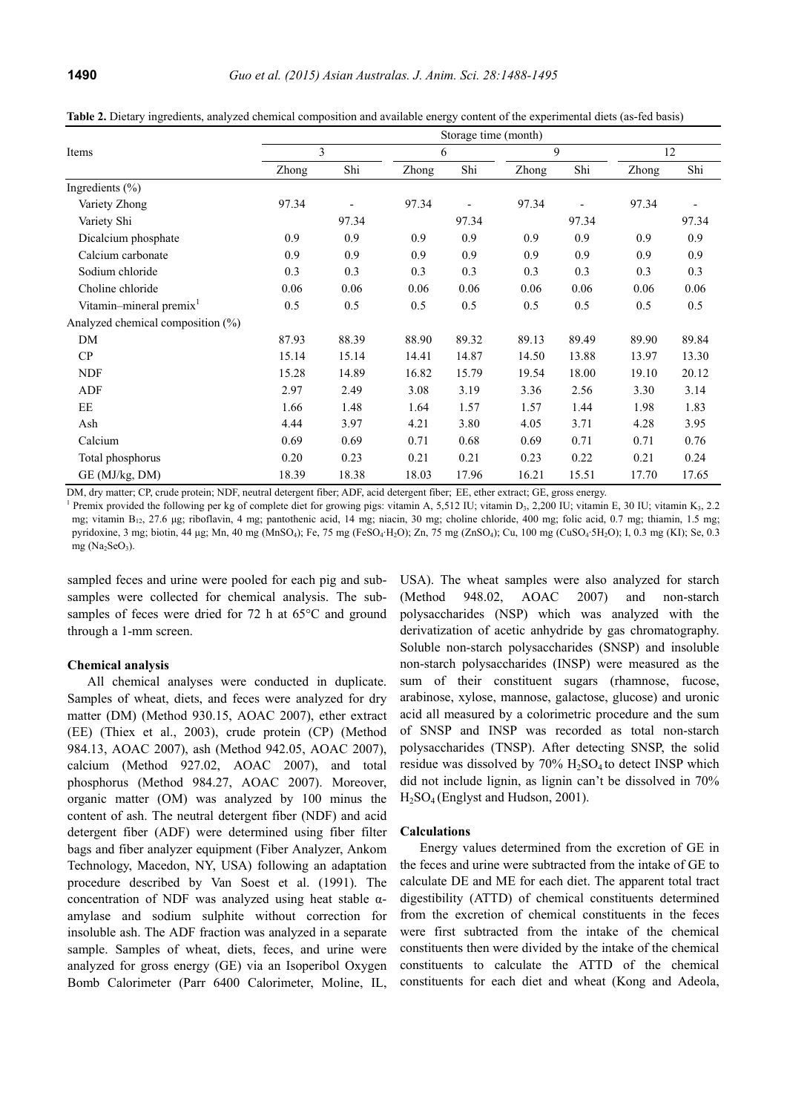|                                     | Storage time (month) |       |       |       |       |       |       |       |  |  |  |  |
|-------------------------------------|----------------------|-------|-------|-------|-------|-------|-------|-------|--|--|--|--|
| Items                               |                      | 3     |       | 6     | 9     |       | 12    |       |  |  |  |  |
|                                     | Zhong                | Shi   | Zhong | Shi   | Zhong | Shi   | Zhong | Shi   |  |  |  |  |
| Ingredients $(\% )$                 |                      |       |       |       |       |       |       |       |  |  |  |  |
| Variety Zhong                       | 97.34                |       | 97.34 |       | 97.34 |       | 97.34 |       |  |  |  |  |
| Variety Shi                         |                      | 97.34 |       | 97.34 |       | 97.34 |       | 97.34 |  |  |  |  |
| Dicalcium phosphate                 | 0.9                  | 0.9   | 0.9   | 0.9   | 0.9   | 0.9   | 0.9   | 0.9   |  |  |  |  |
| Calcium carbonate                   | 0.9                  | 0.9   | 0.9   | 0.9   | 0.9   | 0.9   | 0.9   | 0.9   |  |  |  |  |
| Sodium chloride                     | 0.3                  | 0.3   | 0.3   | 0.3   | 0.3   | 0.3   | 0.3   | 0.3   |  |  |  |  |
| Choline chloride                    | 0.06                 | 0.06  | 0.06  | 0.06  | 0.06  | 0.06  | 0.06  | 0.06  |  |  |  |  |
| Vitamin-mineral premix <sup>1</sup> | 0.5                  | 0.5   | 0.5   | 0.5   | 0.5   | 0.5   | 0.5   | 0.5   |  |  |  |  |
| Analyzed chemical composition (%)   |                      |       |       |       |       |       |       |       |  |  |  |  |
| DM                                  | 87.93                | 88.39 | 88.90 | 89.32 | 89.13 | 89.49 | 89.90 | 89.84 |  |  |  |  |
| CP                                  | 15.14                | 15.14 | 14.41 | 14.87 | 14.50 | 13.88 | 13.97 | 13.30 |  |  |  |  |
| <b>NDF</b>                          | 15.28                | 14.89 | 16.82 | 15.79 | 19.54 | 18.00 | 19.10 | 20.12 |  |  |  |  |
| ADF                                 | 2.97                 | 2.49  | 3.08  | 3.19  | 3.36  | 2.56  | 3.30  | 3.14  |  |  |  |  |
| EE                                  | 1.66                 | 1.48  | 1.64  | 1.57  | 1.57  | 1.44  | 1.98  | 1.83  |  |  |  |  |
| Ash                                 | 4.44                 | 3.97  | 4.21  | 3.80  | 4.05  | 3.71  | 4.28  | 3.95  |  |  |  |  |
| Calcium                             | 0.69                 | 0.69  | 0.71  | 0.68  | 0.69  | 0.71  | 0.71  | 0.76  |  |  |  |  |
| Total phosphorus                    | 0.20                 | 0.23  | 0.21  | 0.21  | 0.23  | 0.22  | 0.21  | 0.24  |  |  |  |  |
| GE (MJ/kg, DM)                      | 18.39                | 18.38 | 18.03 | 17.96 | 16.21 | 15.51 | 17.70 | 17.65 |  |  |  |  |

**Table 2.** Dietary ingredients, analyzed chemical composition and available energy content of the experimental diets (as-fed basis)

DM, dry matter; CP, crude protein; NDF, neutral detergent fiber; ADF, acid detergent fiber; EE, ether extract; GE, gross energy.

<sup>1</sup> Premix provided the following per kg of complete diet for growing pigs: vitamin A, 5,512 IU; vitamin D<sub>3</sub>, 2,200 IU; vitamin E, 30 IU; vitamin K<sub>3</sub>, 2.2 mg; vitamin B<sub>12</sub>, 27.6 μg; riboflavin, 4 mg; pantothenic acid, 14 mg; niacin, 30 mg; choline chloride, 400 mg; folic acid, 0.7 mg; thiamin, 1.5 mg; pyridoxine, 3 mg; biotin, 44 μg; Mn, 40 mg (MnSO4); Fe, 75 mg (FeSO4∙H2O); Zn, 75 mg (ZnSO4); Cu, 100 mg (CuSO4∙5H2O); I, 0.3 mg (KI); Se, 0.3 mg  $(Na_2SeO_2)$ .

sampled feces and urine were pooled for each pig and subsamples were collected for chemical analysis. The subsamples of feces were dried for 72 h at 65°C and ground through a 1-mm screen.

#### **Chemical analysis**

All chemical analyses were conducted in duplicate. Samples of wheat, diets, and feces were analyzed for dry matter (DM) (Method 930.15, AOAC 2007), ether extract (EE) (Thiex et al., 2003), crude protein (CP) (Method 984.13, AOAC 2007), ash (Method 942.05, AOAC 2007), calcium (Method 927.02, AOAC 2007), and total phosphorus (Method 984.27, AOAC 2007). Moreover, organic matter (OM) was analyzed by 100 minus the content of ash. The neutral detergent fiber (NDF) and acid detergent fiber (ADF) were determined using fiber filter bags and fiber analyzer equipment (Fiber Analyzer, Ankom Technology, Macedon, NY, USA) following an adaptation procedure described by Van Soest et al. (1991). The concentration of NDF was analyzed using heat stable  $\alpha$ amylase and sodium sulphite without correction for insoluble ash. The ADF fraction was analyzed in a separate sample. Samples of wheat, diets, feces, and urine were analyzed for gross energy (GE) via an Isoperibol Oxygen Bomb Calorimeter (Parr 6400 Calorimeter, Moline, IL,

USA). The wheat samples were also analyzed for starch (Method 948.02, AOAC 2007) and non-starch polysaccharides (NSP) which was analyzed with the derivatization of acetic anhydride by gas chromatography. Soluble non-starch polysaccharides (SNSP) and insoluble non-starch polysaccharides (INSP) were measured as the sum of their constituent sugars (rhamnose, fucose, arabinose, xylose, mannose, galactose, glucose) and uronic acid all measured by a colorimetric procedure and the sum of SNSP and INSP was recorded as total non-starch polysaccharides (TNSP). After detecting SNSP, the solid residue was dissolved by  $70\%$  H<sub>2</sub>SO<sub>4</sub> to detect INSP which did not include lignin, as lignin can't be dissolved in 70% H2SO4 (Englyst and Hudson, 2001).

#### **Calculations**

Energy values determined from the excretion of GE in the feces and urine were subtracted from the intake of GE to calculate DE and ME for each diet. The apparent total tract digestibility (ATTD) of chemical constituents determined from the excretion of chemical constituents in the feces were first subtracted from the intake of the chemical constituents then were divided by the intake of the chemical constituents to calculate the ATTD of the chemical constituents for each diet and wheat (Kong and Adeola,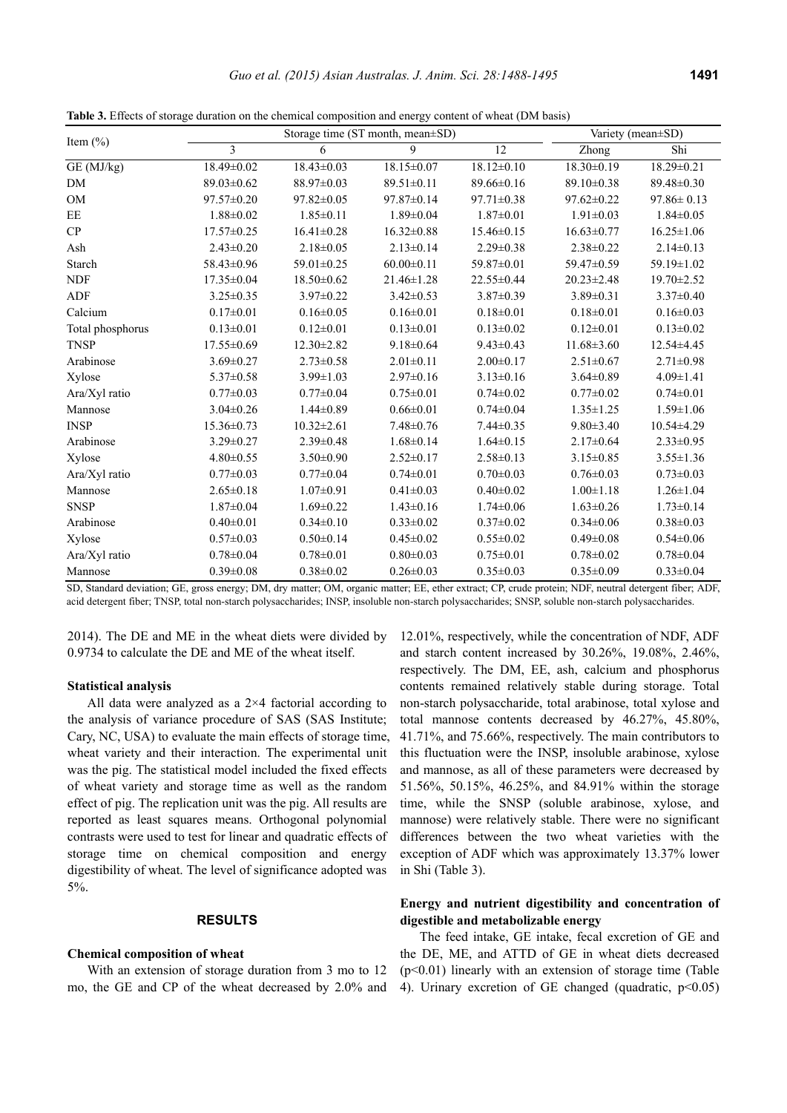**Table 3.** Effects of storage duration on the chemical composition and energy content of wheat (DM basis)

|                  |                  | Storage time (ST month, mean±SD) | Variety (mean±SD) |                  |                  |                  |
|------------------|------------------|----------------------------------|-------------------|------------------|------------------|------------------|
| Item $(\% )$     | $\overline{3}$   | 6                                | 9                 | 12               | Zhong            | Shi              |
| GE (MJ/kg)       | 18.49±0.02       | $18.43 \pm 0.03$                 | 18.15±0.07        | $18.12 \pm 0.10$ | 18.30±0.19       | $18.29 \pm 0.21$ |
| DM               | $89.03 \pm 0.62$ | 88.97±0.03                       | 89.51±0.11        | $89.66 \pm 0.16$ | 89.10±0.38       | 89.48±0.30       |
| OM               | $97.57 \pm 0.20$ | $97.82 \pm 0.05$                 | $97.87 \pm 0.14$  | 97.71±0.38       | 97.62±0.22       | $97.86 \pm 0.13$ |
| EE               | $1.88 \pm 0.02$  | $1.85 \pm 0.11$                  | $1.89 \pm 0.04$   | $1.87 \pm 0.01$  | $1.91 \pm 0.03$  | $1.84 \pm 0.05$  |
| CP               | $17.57 \pm 0.25$ | $16.41 \pm 0.28$                 | $16.32 \pm 0.88$  | $15.46 \pm 0.15$ | $16.63 \pm 0.77$ | $16.25 \pm 1.06$ |
| Ash              | $2.43 \pm 0.20$  | $2.18 \pm 0.05$                  | $2.13 \pm 0.14$   | $2.29 \pm 0.38$  | $2.38 \pm 0.22$  | $2.14 \pm 0.13$  |
| Starch           | 58.43±0.96       | 59.01±0.25                       | $60.00 \pm 0.11$  | 59.87±0.01       | 59.47±0.59       | 59.19±1.02       |
| <b>NDF</b>       | $17.35 \pm 0.04$ | $18.50 \pm 0.62$                 | $21.46 \pm 1.28$  | 22.55±0.44       | $20.23 \pm 2.48$ | $19.70 \pm 2.52$ |
| <b>ADF</b>       | $3.25 \pm 0.35$  | $3.97 \pm 0.22$                  | $3.42 \pm 0.53$   | $3.87 \pm 0.39$  | $3.89 \pm 0.31$  | $3.37 \pm 0.40$  |
| Calcium          | $0.17 \pm 0.01$  | $0.16 \pm 0.05$                  | $0.16 \pm 0.01$   | $0.18 \pm 0.01$  | $0.18 \pm 0.01$  | $0.16 \pm 0.03$  |
| Total phosphorus | $0.13 \pm 0.01$  | $0.12 \pm 0.01$                  | $0.13 \pm 0.01$   | $0.13 \pm 0.02$  | $0.12 \pm 0.01$  | $0.13 \pm 0.02$  |
| <b>TNSP</b>      | 17.55±0.69       | 12.30±2.82                       | $9.18 \pm 0.64$   | $9.43 \pm 0.43$  | $11.68 \pm 3.60$ | 12.54±4.45       |
| Arabinose        | $3.69 \pm 0.27$  | $2.73 \pm 0.58$                  | $2.01 \pm 0.11$   | $2.00 \pm 0.17$  | $2.51 \pm 0.67$  | $2.71 \pm 0.98$  |
| Xylose           | $5.37 \pm 0.58$  | $3.99 \pm 1.03$                  | $2.97 \pm 0.16$   | $3.13 \pm 0.16$  | $3.64 \pm 0.89$  | $4.09 \pm 1.41$  |
| Ara/Xyl ratio    | $0.77 \pm 0.03$  | $0.77 \pm 0.04$                  | $0.75 \pm 0.01$   | $0.74 \pm 0.02$  | $0.77 \pm 0.02$  | $0.74 \pm 0.01$  |
| Mannose          | $3.04 \pm 0.26$  | $1.44 \pm 0.89$                  | $0.66 \pm 0.01$   | $0.74 \pm 0.04$  | $1.35 \pm 1.25$  | $1.59 \pm 1.06$  |
| <b>INSP</b>      | $15.36 \pm 0.73$ | $10.32 \pm 2.61$                 | $7.48 \pm 0.76$   | $7.44 \pm 0.35$  | $9.80 \pm 3.40$  | $10.54 \pm 4.29$ |
| Arabinose        | $3.29 \pm 0.27$  | $2.39 \pm 0.48$                  | $1.68 \pm 0.14$   | $1.64 \pm 0.15$  | $2.17 \pm 0.64$  | $2.33 \pm 0.95$  |
| Xylose           | $4.80 \pm 0.55$  | $3.50 \pm 0.90$                  | $2.52 \pm 0.17$   | $2.58 \pm 0.13$  | $3.15 \pm 0.85$  | $3.55 \pm 1.36$  |
| Ara/Xyl ratio    | $0.77 \pm 0.03$  | $0.77 \pm 0.04$                  | $0.74 \pm 0.01$   | $0.70 \pm 0.03$  | $0.76 \pm 0.03$  | $0.73 \pm 0.03$  |
| Mannose          | $2.65 \pm 0.18$  | $1.07 \pm 0.91$                  | $0.41 \pm 0.03$   | $0.40 \pm 0.02$  | $1.00 \pm 1.18$  | $1.26 \pm 1.04$  |
| <b>SNSP</b>      | $1.87 \pm 0.04$  | $1.69 \pm 0.22$                  | $1.43 \pm 0.16$   | $1.74 \pm 0.06$  | $1.63 \pm 0.26$  | $1.73 \pm 0.14$  |
| Arabinose        | $0.40 \pm 0.01$  | $0.34 \pm 0.10$                  | $0.33 \pm 0.02$   | $0.37 \pm 0.02$  | $0.34 \pm 0.06$  | $0.38 \pm 0.03$  |
| Xylose           | $0.57 \pm 0.03$  | $0.50 \pm 0.14$                  | $0.45 \pm 0.02$   | $0.55 \pm 0.02$  | $0.49 \pm 0.08$  | $0.54 \pm 0.06$  |
| Ara/Xyl ratio    | $0.78 \pm 0.04$  | $0.78 \pm 0.01$                  | $0.80 \pm 0.03$   | $0.75 \pm 0.01$  | $0.78 \pm 0.02$  | $0.78 \pm 0.04$  |
| Mannose          | $0.39 \pm 0.08$  | $0.38 + 0.02$                    | $0.26 \pm 0.03$   | $0.35 \pm 0.03$  | $0.35 \pm 0.09$  | $0.33 \pm 0.04$  |

SD, Standard deviation; GE, gross energy; DM, dry matter; OM, organic matter; EE, ether extract; CP, crude protein; NDF, neutral detergent fiber; ADF, acid detergent fiber; TNSP, total non-starch polysaccharides; INSP, insoluble non-starch polysaccharides; SNSP, soluble non-starch polysaccharides.

2014). The DE and ME in the wheat diets were divided by 0.9734 to calculate the DE and ME of the wheat itself.

## **Statistical analysis**

All data were analyzed as a 2×4 factorial according to the analysis of variance procedure of SAS (SAS Institute; Cary, NC, USA) to evaluate the main effects of storage time, wheat variety and their interaction. The experimental unit was the pig. The statistical model included the fixed effects of wheat variety and storage time as well as the random effect of pig. The replication unit was the pig. All results are reported as least squares means. Orthogonal polynomial contrasts were used to test for linear and quadratic effects of storage time on chemical composition and energy digestibility of wheat. The level of significance adopted was 5%.

## **RESULTS**

#### **Chemical composition of wheat**

With an extension of storage duration from 3 mo to 12 mo, the GE and CP of the wheat decreased by 2.0% and 12.01%, respectively, while the concentration of NDF, ADF and starch content increased by 30.26%, 19.08%, 2.46%, respectively. The DM, EE, ash, calcium and phosphorus contents remained relatively stable during storage. Total non-starch polysaccharide, total arabinose, total xylose and total mannose contents decreased by 46.27%, 45.80%, 41.71%, and 75.66%, respectively. The main contributors to this fluctuation were the INSP, insoluble arabinose, xylose and mannose, as all of these parameters were decreased by 51.56%, 50.15%, 46.25%, and 84.91% within the storage time, while the SNSP (soluble arabinose, xylose, and mannose) were relatively stable. There were no significant differences between the two wheat varieties with the exception of ADF which was approximately 13.37% lower in Shi (Table 3).

# **Energy and nutrient digestibility and concentration of digestible and metabolizable energy**

The feed intake, GE intake, fecal excretion of GE and the DE, ME, and ATTD of GE in wheat diets decreased  $(p<0.01)$  linearly with an extension of storage time (Table 4). Urinary excretion of GE changed (quadratic,  $p<0.05$ )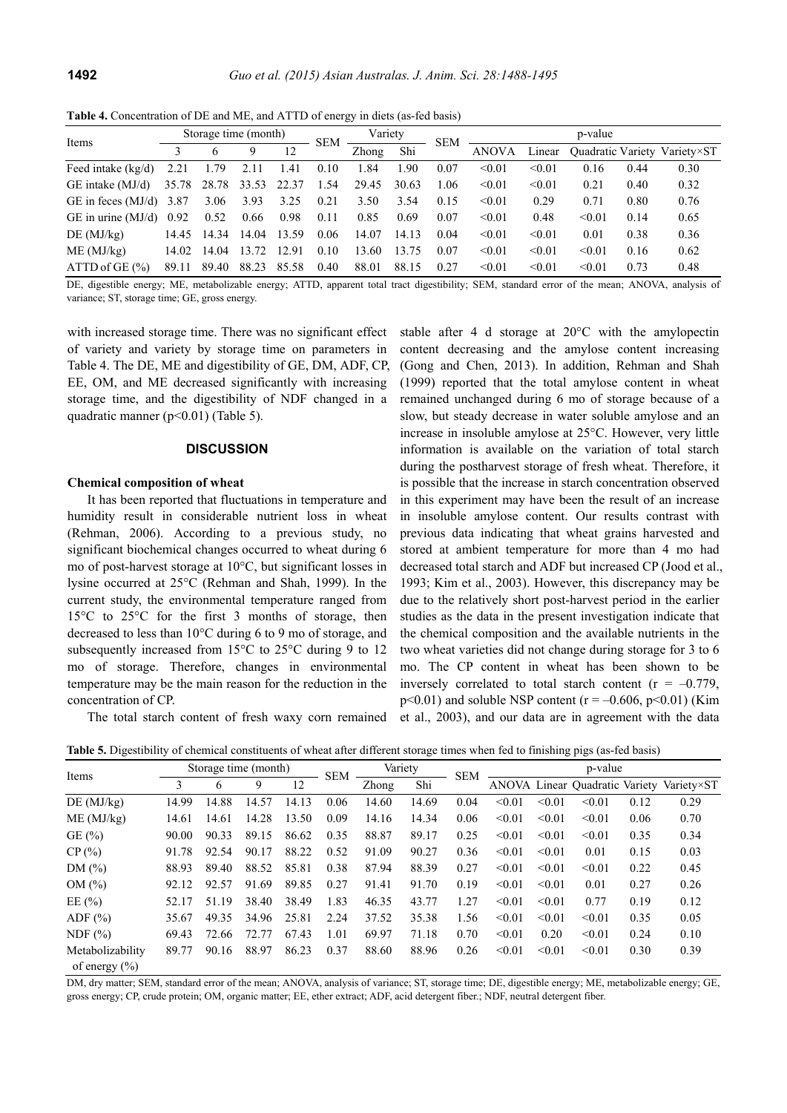**Table 4.** Concentration of DE and ME, and ATTD of energy in diets (as-fed basis)

| Items                     |       | Storage time (month) |       |       | <b>SEM</b> | Variety |       | <b>SEM</b> | p-value      |        |        |      |                              |  |
|---------------------------|-------|----------------------|-------|-------|------------|---------|-------|------------|--------------|--------|--------|------|------------------------------|--|
|                           |       |                      |       | 12    |            | Zhong   | Shi   |            | <b>ANOVA</b> | Linear |        |      | Ouadratic Variety Variety×ST |  |
| Feed intake $(kg/d)$      | 2.21  | 1.79                 | 2.11  | 1.41  | 0.10       | 1.84    | 1.90  | 0.07       | < 0.01       | < 0.01 | 0.16   | 0.44 | 0.30                         |  |
| $GE$ intake $(MJ/d)$      |       | 35.78 28.78 33.53    |       | 22.37 | 1.54       | 29.45   | 30.63 | 1.06       | < 0.01       | < 0.01 | 0.21   | 0.40 | 0.32                         |  |
| GE in feces $(MJ/d)$ 3.87 |       | 3.06                 | 3.93  | 3.25  | 0.21       | 3.50    | 3.54  | 0.15       | < 0.01       | 0.29   | 0.71   | 0.80 | 0.76                         |  |
| GE in urine $(MJ/d)$      | 0.92  | 0.52                 | 0.66  | 0.98  | 0.11       | 0.85    | 0.69  | 0.07       | < 0.01       | 0.48   | < 0.01 | 0.14 | 0.65                         |  |
| DE(MJ/kg)                 | 14.45 | 14.34                | 14.04 | 13.59 | 0.06       | 14.07   | 14.13 | 0.04       | < 0.01       | < 0.01 | 0.01   | 0.38 | 0.36                         |  |
| ME (MJ/kg)                | 14.02 | 14.04                | 13.72 | 12.91 | 0.10       | 13.60   | 13.75 | 0.07       | < 0.01       | < 0.01 | < 0.01 | 0.16 | 0.62                         |  |
| $ATTD$ of GE $(\% )$      | 89.11 | 89.40                | 88.23 | 85.58 | 0.40       | 88.01   | 88.15 | 0.27       | < 0.01       | < 0.01 | < 0.01 | 0.73 | 0.48                         |  |

DE, digestible energy; ME, metabolizable energy; ATTD, apparent total tract digestibility; SEM, standard error of the mean; ANOVA, analysis of variance; ST, storage time; GE, gross energy.

with increased storage time. There was no significant effect of variety and variety by storage time on parameters in Table 4. The DE, ME and digestibility of GE, DM, ADF, CP, EE, OM, and ME decreased significantly with increasing storage time, and the digestibility of NDF changed in a quadratic manner ( $p \le 0.01$ ) (Table 5).

### **DISCUSSION**

## **Chemical composition of wheat**

It has been reported that fluctuations in temperature and humidity result in considerable nutrient loss in wheat (Rehman, 2006). According to a previous study, no significant biochemical changes occurred to wheat during 6 mo of post-harvest storage at 10°C, but significant losses in lysine occurred at 25°C (Rehman and Shah, 1999). In the current study, the environmental temperature ranged from 15°C to 25°C for the first 3 months of storage, then decreased to less than 10°C during 6 to 9 mo of storage, and subsequently increased from 15°C to 25°C during 9 to 12 mo of storage. Therefore, changes in environmental temperature may be the main reason for the reduction in the concentration of CP.

The total starch content of fresh waxy corn remained

stable after 4 d storage at 20°C with the amylopectin content decreasing and the amylose content increasing (Gong and Chen, 2013). In addition, Rehman and Shah (1999) reported that the total amylose content in wheat remained unchanged during 6 mo of storage because of a slow, but steady decrease in water soluble amylose and an increase in insoluble amylose at 25°C. However, very little information is available on the variation of total starch during the postharvest storage of fresh wheat. Therefore, it is possible that the increase in starch concentration observed in this experiment may have been the result of an increase in insoluble amylose content. Our results contrast with previous data indicating that wheat grains harvested and stored at ambient temperature for more than 4 mo had decreased total starch and ADF but increased CP (Jood et al., 1993; Kim et al., 2003). However, this discrepancy may be due to the relatively short post-harvest period in the earlier studies as the data in the present investigation indicate that the chemical composition and the available nutrients in the two wheat varieties did not change during storage for 3 to 6 mo. The CP content in wheat has been shown to be inversely correlated to total starch content ( $r = -0.779$ ,  $p$ <0.01) and soluble NSP content ( $r = -0.606$ ,  $p$ <0.01) (Kim et al., 2003), and our data are in agreement with the data

**Table 5.** Digestibility of chemical constituents of wheat after different storage times when fed to finishing pigs (as-fed basis)

| Items                                 |       |       | Storage time (month) |       | <b>SEM</b> | Variety |       | <b>SEM</b> | p-value |        |                                |      |            |  |
|---------------------------------------|-------|-------|----------------------|-------|------------|---------|-------|------------|---------|--------|--------------------------------|------|------------|--|
|                                       | 3     | 6     | 9                    | 12    |            | Zhong   | Shi   |            |         |        | ANOVA Linear Quadratic Variety |      | Variety×ST |  |
| DE(MJ/kg)                             | 14.99 | 14.88 | 14.57                | 14.13 | 0.06       | 14.60   | 14.69 | 0.04       | < 0.01  | < 0.01 | < 0.01                         | 0.12 | 0.29       |  |
| ME (MJ/kg)                            | 14.61 | 14.61 | 14.28                | 13.50 | 0.09       | 14.16   | 14.34 | 0.06       | < 0.01  | < 0.01 | < 0.01                         | 0.06 | 0.70       |  |
| GE $(\% )$                            | 90.00 | 90.33 | 89.15                | 86.62 | 0.35       | 88.87   | 89.17 | 0.25       | < 0.01  | < 0.01 | < 0.01                         | 0.35 | 0.34       |  |
| CP(%)                                 | 91.78 | 92.54 | 90.17                | 88.22 | 0.52       | 91.09   | 90.27 | 0.36       | < 0.01  | < 0.01 | 0.01                           | 0.15 | 0.03       |  |
| DM $(\% )$                            | 88.93 | 89.40 | 88.52                | 85.81 | 0.38       | 87.94   | 88.39 | 0.27       | < 0.01  | < 0.01 | < 0.01                         | 0.22 | 0.45       |  |
| OM(%)                                 | 92.12 | 92.57 | 91.69                | 89.85 | 0.27       | 91.41   | 91.70 | 0.19       | < 0.01  | < 0.01 | 0.01                           | 0.27 | 0.26       |  |
| EE $(\% )$                            | 52.17 | 51.19 | 38.40                | 38.49 | 1.83       | 46.35   | 43.77 | 1.27       | < 0.01  | < 0.01 | 0.77                           | 0.19 | 0.12       |  |
| ADF $(\% )$                           | 35.67 | 49.35 | 34.96                | 25.81 | 2.24       | 37.52   | 35.38 | 1.56       | < 0.01  | < 0.01 | < 0.01                         | 0.35 | 0.05       |  |
| NDF $(\% )$                           | 69.43 | 72.66 | 72.77                | 67.43 | 1.01       | 69.97   | 71.18 | 0.70       | < 0.01  | 0.20   | < 0.01                         | 0.24 | 0.10       |  |
| Metabolizability<br>of energy $(\% )$ | 89.77 | 90.16 | 88.97                | 86.23 | 0.37       | 88.60   | 88.96 | 0.26       | < 0.01  | < 0.01 | < 0.01                         | 0.30 | 0.39       |  |

DM, dry matter; SEM, standard error of the mean; ANOVA, analysis of variance; ST, storage time; DE, digestible energy; ME, metabolizable energy; GE, gross energy; CP, crude protein; OM, organic matter; EE, ether extract; ADF, acid detergent fiber.; NDF, neutral detergent fiber.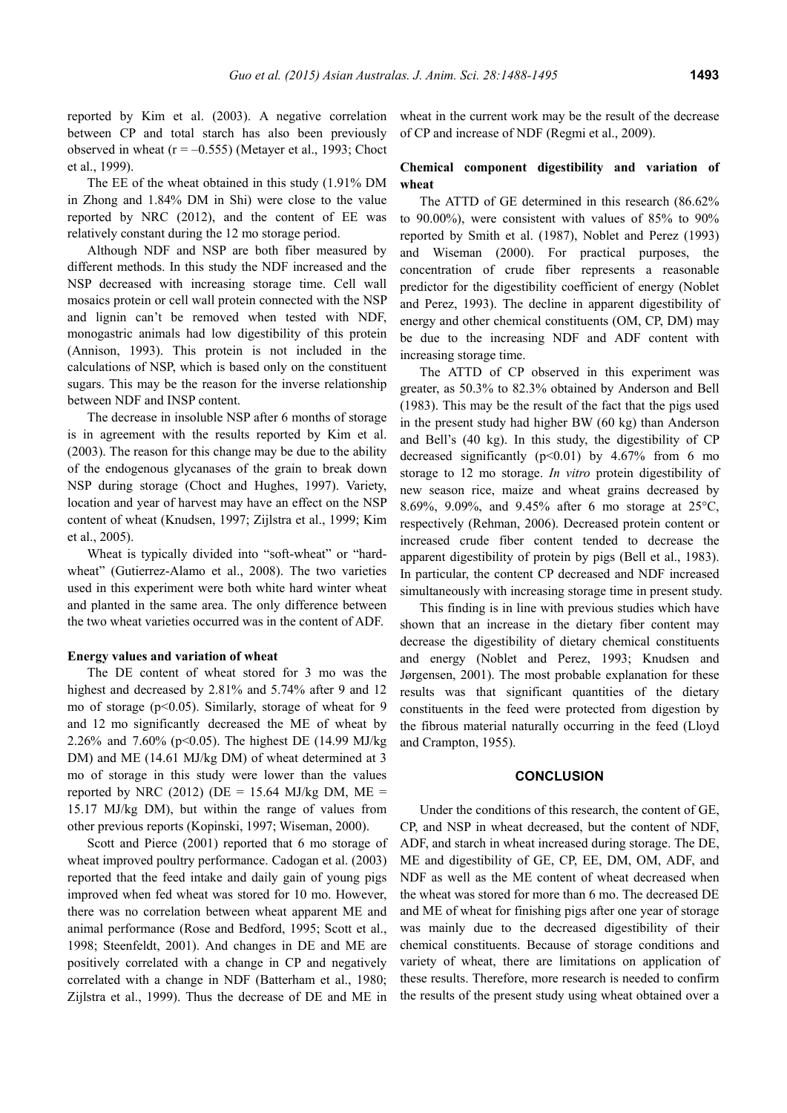reported by Kim et al. (2003). A negative correlation between CP and total starch has also been previously observed in wheat  $(r = -0.555)$  (Metayer et al., 1993; Choct et al., 1999).

The EE of the wheat obtained in this study (1.91% DM in Zhong and 1.84% DM in Shi) were close to the value reported by NRC (2012), and the content of EE was relatively constant during the 12 mo storage period.

Although NDF and NSP are both fiber measured by different methods. In this study the NDF increased and the NSP decreased with increasing storage time. Cell wall mosaics protein or cell wall protein connected with the NSP and lignin can't be removed when tested with NDF, monogastric animals had low digestibility of this protein (Annison, 1993). This protein is not included in the calculations of NSP, which is based only on the constituent sugars. This may be the reason for the inverse relationship between NDF and INSP content.

The decrease in insoluble NSP after 6 months of storage is in agreement with the results reported by Kim et al. (2003). The reason for this change may be due to the ability of the endogenous glycanases of the grain to break down NSP during storage (Choct and Hughes, 1997). Variety, location and year of harvest may have an effect on the NSP content of wheat (Knudsen, 1997; Zijlstra et al., 1999; Kim et al., 2005).

Wheat is typically divided into "soft-wheat" or "hardwheat" (Gutierrez-Alamo et al., 2008). The two varieties used in this experiment were both white hard winter wheat and planted in the same area. The only difference between the two wheat varieties occurred was in the content of ADF.

#### **Energy values and variation of wheat**

The DE content of wheat stored for 3 mo was the highest and decreased by 2.81% and 5.74% after 9 and 12 mo of storage (p<0.05). Similarly, storage of wheat for 9 and 12 mo significantly decreased the ME of wheat by 2.26% and 7.60% (p<0.05). The highest DE (14.99 MJ/kg DM) and ME (14.61 MJ/kg DM) of wheat determined at 3 mo of storage in this study were lower than the values reported by NRC (2012) ( $DE = 15.64$  MJ/kg DM, ME = 15.17 MJ/kg DM), but within the range of values from other previous reports (Kopinski, 1997; Wiseman, 2000).

Scott and Pierce (2001) reported that 6 mo storage of wheat improved poultry performance. Cadogan et al. (2003) reported that the feed intake and daily gain of young pigs improved when fed wheat was stored for 10 mo. However, there was no correlation between wheat apparent ME and animal performance (Rose and Bedford, 1995; Scott et al., 1998; Steenfeldt, 2001). And changes in DE and ME are positively correlated with a change in CP and negatively correlated with a change in NDF (Batterham et al., 1980; Zijlstra et al., 1999). Thus the decrease of DE and ME in wheat in the current work may be the result of the decrease of CP and increase of NDF (Regmi et al., 2009).

# **Chemical component digestibility and variation of wheat**

The ATTD of GE determined in this research (86.62% to 90.00%), were consistent with values of 85% to 90% reported by Smith et al. (1987), Noblet and Perez (1993) and Wiseman (2000). For practical purposes, the concentration of crude fiber represents a reasonable predictor for the digestibility coefficient of energy (Noblet and Perez, 1993). The decline in apparent digestibility of energy and other chemical constituents (OM, CP, DM) may be due to the increasing NDF and ADF content with increasing storage time.

The ATTD of CP observed in this experiment was greater, as 50.3% to 82.3% obtained by Anderson and Bell (1983). This may be the result of the fact that the pigs used in the present study had higher BW (60 kg) than Anderson and Bell's (40 kg). In this study, the digestibility of CP decreased significantly  $(p<0.01)$  by 4.67% from 6 mo storage to 12 mo storage. *In vitro* protein digestibility of new season rice, maize and wheat grains decreased by 8.69%, 9.09%, and 9.45% after 6 mo storage at 25°C, respectively (Rehman, 2006). Decreased protein content or increased crude fiber content tended to decrease the apparent digestibility of protein by pigs (Bell et al., 1983). In particular, the content CP decreased and NDF increased simultaneously with increasing storage time in present study.

This finding is in line with previous studies which have shown that an increase in the dietary fiber content may decrease the digestibility of dietary chemical constituents and energy (Noblet and Perez, 1993; Knudsen and Jørgensen, 2001). The most probable explanation for these results was that significant quantities of the dietary constituents in the feed were protected from digestion by the fibrous material naturally occurring in the feed (Lloyd and Crampton, 1955).

#### **CONCLUSION**

Under the conditions of this research, the content of GE, CP, and NSP in wheat decreased, but the content of NDF, ADF, and starch in wheat increased during storage. The DE, ME and digestibility of GE, CP, EE, DM, OM, ADF, and NDF as well as the ME content of wheat decreased when the wheat was stored for more than 6 mo. The decreased DE and ME of wheat for finishing pigs after one year of storage was mainly due to the decreased digestibility of their chemical constituents. Because of storage conditions and variety of wheat, there are limitations on application of these results. Therefore, more research is needed to confirm the results of the present study using wheat obtained over a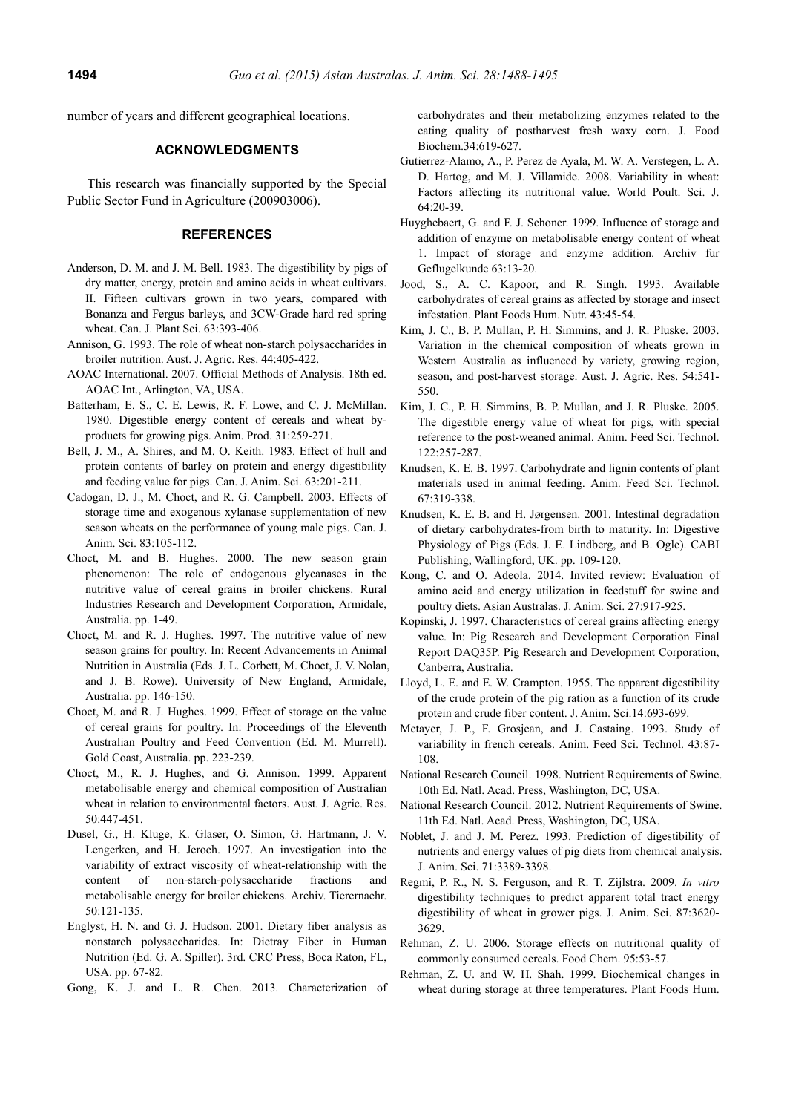number of years and different geographical locations.

## **ACKNOWLEDGMENTS**

This research was financially supported by the Special Public Sector Fund in Agriculture (200903006).

## **REFERENCES**

- Anderson, D. M. and J. M. Bell. 1983. The digestibility by pigs of dry matter, energy, protein and amino acids in wheat cultivars. II. Fifteen cultivars grown in two years, compared with Bonanza and Fergus barleys, and 3CW-Grade hard red spring wheat. Can. J. Plant Sci. 63:393-406.
- Annison, G. 1993. The role of wheat non-starch polysaccharides in broiler nutrition. Aust. J. Agric. Res. 44:405-422.
- AOAC International. 2007. Official Methods of Analysis. 18th ed. AOAC Int., Arlington, VA, USA.
- Batterham, E. S., C. E. Lewis, R. F. Lowe, and C. J. McMillan. 1980. Digestible energy content of cereals and wheat byproducts for growing pigs. Anim. Prod. 31:259-271.
- Bell, J. M., A. Shires, and M. O. Keith. 1983. Effect of hull and protein contents of barley on protein and energy digestibility and feeding value for pigs. Can. J. Anim. Sci. 63:201-211.
- Cadogan, D. J., M. Choct, and R. G. Campbell. 2003. Effects of storage time and exogenous xylanase supplementation of new season wheats on the performance of young male pigs. Can. J. Anim. Sci. 83:105-112.
- Choct, M. and B. Hughes. 2000. The new season grain phenomenon: The role of endogenous glycanases in the nutritive value of cereal grains in broiler chickens. Rural Industries Research and Development Corporation, Armidale, Australia. pp. 1-49.
- Choct, M. and R. J. Hughes. 1997. The nutritive value of new season grains for poultry. In: Recent Advancements in Animal Nutrition in Australia (Eds. J. L. Corbett, M. Choct, J. V. Nolan, and J. B. Rowe). University of New England, Armidale, Australia. pp. 146-150.
- Choct, M. and R. J. Hughes. 1999. Effect of storage on the value of cereal grains for poultry. In: Proceedings of the Eleventh Australian Poultry and Feed Convention (Ed. M. Murrell). Gold Coast, Australia. pp. 223-239.
- Choct, M., R. J. Hughes, and G. Annison. 1999. Apparent metabolisable energy and chemical composition of Australian wheat in relation to environmental factors. Aust. J. Agric. Res. 50:447-451.
- Dusel, G., H. Kluge, K. Glaser, O. Simon, G. Hartmann, J. V. Lengerken, and H. Jeroch. 1997. An investigation into the variability of extract viscosity of wheat-relationship with the content of non-starch-polysaccharide fractions and metabolisable energy for broiler chickens. Archiv. Tierernaehr. 50:121-135.
- Englyst, H. N. and G. J. Hudson. 2001. Dietary fiber analysis as nonstarch polysaccharides. In: Dietray Fiber in Human Nutrition (Ed. G. A. Spiller). 3rd. CRC Press, Boca Raton, FL, USA. pp. 67-82.
- Gong, K. J. and L. R. Chen. 2013. Characterization of

carbohydrates and their metabolizing enzymes related to the eating quality of postharvest fresh waxy corn. J. Food Biochem.34:619-627.

- Gutierrez-Alamo, A., P. Perez de Ayala, M. W. A. Verstegen, L. A. D. Hartog, and M. J. Villamide. 2008. Variability in wheat: Factors affecting its nutritional value. World Poult. Sci. J. 64:20-39.
- Huyghebaert, G. and F. J. Schoner. 1999. Influence of storage and addition of enzyme on metabolisable energy content of wheat 1. Impact of storage and enzyme addition. Archiv fur Geflugelkunde 63:13-20.
- Jood, S., A. C. Kapoor, and R. Singh. 1993. Available carbohydrates of cereal grains as affected by storage and insect infestation. Plant Foods Hum. Nutr. 43:45-54.
- Kim, J. C., B. P. Mullan, P. H. Simmins, and J. R. Pluske. 2003. Variation in the chemical composition of wheats grown in Western Australia as influenced by variety, growing region, season, and post-harvest storage. Aust. J. Agric. Res. 54:541- 550.
- Kim, J. C., P. H. Simmins, B. P. Mullan, and J. R. Pluske. 2005. The digestible energy value of wheat for pigs, with special reference to the post-weaned animal. Anim. Feed Sci. Technol. 122:257-287.
- Knudsen, K. E. B. 1997. Carbohydrate and lignin contents of plant materials used in animal feeding. Anim. Feed Sci. Technol. 67:319-338.
- Knudsen, K. E. B. and H. Jørgensen. 2001. Intestinal degradation of dietary carbohydrates-from birth to maturity. In: Digestive Physiology of Pigs (Eds. J. E. Lindberg, and B. Ogle). CABI Publishing, Wallingford, UK. pp. 109-120.
- Kong, C. and O. Adeola. 2014. Invited review: Evaluation of amino acid and energy utilization in feedstuff for swine and poultry diets. Asian Australas. J. Anim. Sci. 27:917-925.
- Kopinski, J. 1997. Characteristics of cereal grains affecting energy value. In: Pig Research and Development Corporation Final Report DAQ35P. Pig Research and Development Corporation, Canberra, Australia.
- Lloyd, L. E. and E. W. Crampton. 1955. The apparent digestibility of the crude protein of the pig ration as a function of its crude protein and crude fiber content. J. Anim. Sci.14:693-699.
- Metayer, J. P., F. Grosjean, and J. Castaing. 1993. Study of variability in french cereals. Anim. Feed Sci. Technol. 43:87- 108.
- National Research Council. 1998. Nutrient Requirements of Swine. 10th Ed. Natl. Acad. Press, Washington, DC, USA.
- National Research Council. 2012. Nutrient Requirements of Swine. 11th Ed. Natl. Acad. Press, Washington, DC, USA.
- Noblet, J. and J. M. Perez. 1993. Prediction of digestibility of nutrients and energy values of pig diets from chemical analysis. J. Anim. Sci. 71:3389-3398.
- Regmi, P. R., N. S. Ferguson, and R. T. Zijlstra. 2009. *In vitro* digestibility techniques to predict apparent total tract energy digestibility of wheat in grower pigs. J. Anim. Sci. 87:3620- 3629.
- Rehman, Z. U. 2006. Storage effects on nutritional quality of commonly consumed cereals. Food Chem. 95:53-57.
- Rehman, Z. U. and W. H. Shah. 1999. Biochemical changes in wheat during storage at three temperatures. Plant Foods Hum.